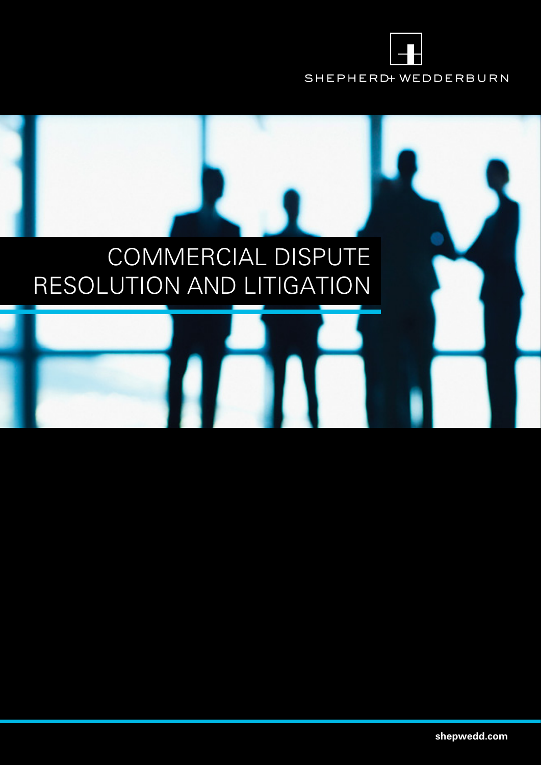

# COMMERCIAL DISPUTE RESOLUTION AND LITIGATION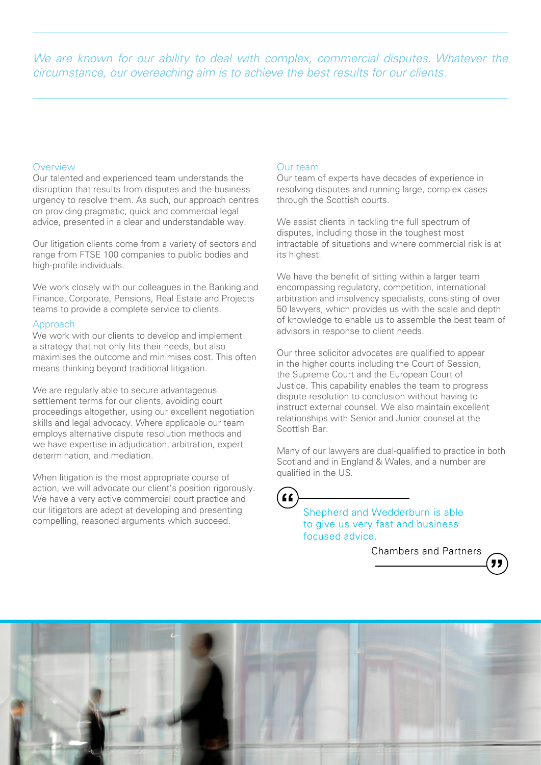We are known for our ability to deal with complex, commercial disputes. Whatever the circumstance, our overeaching aim is to achieve the best results for our clients.

# Overview

Our talented and experienced team understands the disruption that results from disputes and the business urgency to resolve them. As such, our approach centres on providing pragmatic, quick and commercial legal advice, presented in a clear and understandable way.

Our litigation clients come from a variety of sectors and range from FTSE 100 companies to public bodies and high-profile individuals.

We work closely with our colleagues in the Banking and Finance, Corporate, Pensions, Real Estate and Projects teams to provide a complete service to clients.

# Approach

We work with our clients to develop and implement a strategy that not only fits their needs, but also maximises the outcome and minimises cost. This often means thinking beyond traditional litigation.

We are regularly able to secure advantageous settlement terms for our clients, avoiding court proceedings altogether, using our excellent negotiation skills and legal advocacy. Where applicable our team employs alternative dispute resolution methods and we have expertise in adjudication, arbitration, expert determination, and mediation.

When litigation is the most appropriate course of action, we will advocate our client's position rigorously. We have a very active commercial court practice and our litigators are adept at developing and presenting compelling, reasoned arguments which succeed.

# Our team

Our team of experts have decades of experience in resolving disputes and running large, complex cases through the Scottish courts.

We assist clients in tackling the full spectrum of disputes, including those in the toughest most intractable of situations and where commercial risk is at its highest.

We have the benefit of sitting within a larger team encompassing regulatory, competition, international arbitration and insolvency specialists, consisting of over 50 lawyers, which provides us with the scale and depth of knowledge to enable us to assemble the best team of advisors in response to client needs.

Our three solicitor advocates are qualified to appear in the higher courts including the Court of Session, the Supreme Court and the European Court of Justice. This capability enables the team to progress dispute resolution to conclusion without having to instruct external counsel. We also maintain excellent relationships with Senior and Junior counsel at the Scottish Bar.

Many of our lawyers are dual-qualified to practice in both Scotland and in England & Wales, and a number are qualified in the US.

 $\epsilon$ 

Shepherd and Wedderburn is able to give us very fast and business focused advice.

Chambers and Partners

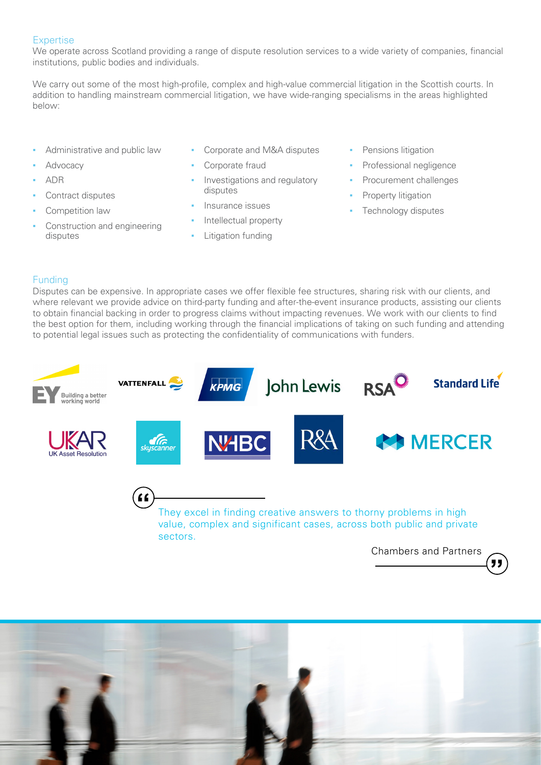# **Expertise**

We operate across Scotland providing a range of dispute resolution services to a wide variety of companies, financial institutions, public bodies and individuals.

We carry out some of the most high-profile, complex and high-value commercial litigation in the Scottish courts. In addition to handling mainstream commercial litigation, we have wide-ranging specialisms in the areas highlighted below:

- Administrative and public law
- Advocacy
- **▪** ADR
- **▪** Contract disputes
- Competition law
- Construction and engineering disputes
- **▪** Corporate and M&A disputes
- Corporate fraud
- **Investigations and regulatory** disputes
- **▪** Insurance issues
- **Intellectual property**
- **Litigation funding**
- **Pensions litigation**
- **▪** Professional negligence
- **▪** Procurement challenges
- **Property litigation**
- **▪** Technology disputes

# Funding

Disputes can be expensive. In appropriate cases we offer flexible fee structures, sharing risk with our clients, and where relevant we provide advice on third-party funding and after-the-event insurance products, assisting our clients to obtain financial backing in order to progress claims without impacting revenues. We work with our clients to find the best option for them, including working through the financial implications of taking on such funding and attending to potential legal issues such as protecting the confidentiality of communications with funders.



Chambers and Partners